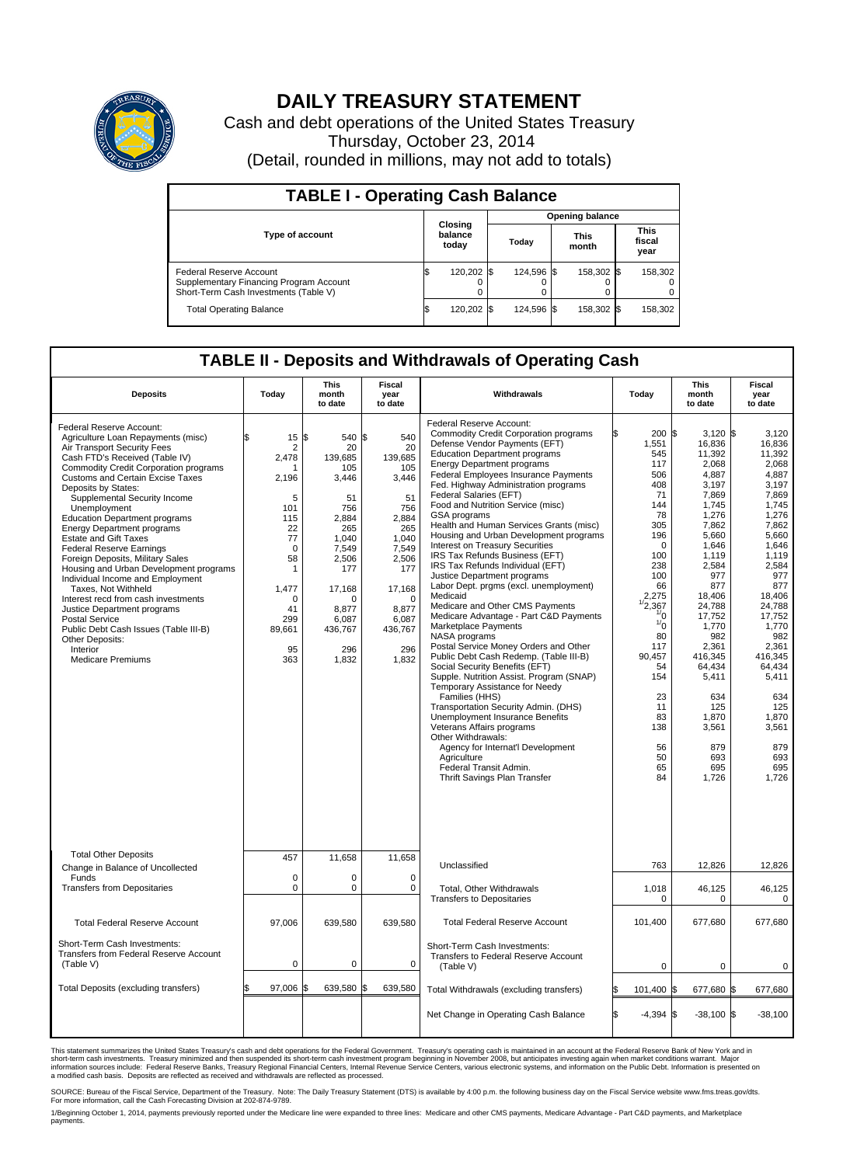

## **DAILY TREASURY STATEMENT**

Cash and debt operations of the United States Treasury Thursday, October 23, 2014 (Detail, rounded in millions, may not add to totals)

| <b>TABLE I - Operating Cash Balance</b>                                                                     |    |                             |       |            |  |                      |  |                               |  |  |  |  |
|-------------------------------------------------------------------------------------------------------------|----|-----------------------------|-------|------------|--|----------------------|--|-------------------------------|--|--|--|--|
| <b>Opening balance</b>                                                                                      |    |                             |       |            |  |                      |  |                               |  |  |  |  |
| <b>Type of account</b>                                                                                      |    | Closing<br>balance<br>today | Todav |            |  | <b>This</b><br>month |  | <b>This</b><br>fiscal<br>year |  |  |  |  |
| Federal Reserve Account<br>Supplementary Financing Program Account<br>Short-Term Cash Investments (Table V) |    | 120,202                     |       | 124.596 \$ |  | 158,302 \$           |  | 158,302                       |  |  |  |  |
| <b>Total Operating Balance</b>                                                                              | ß. | 120,202                     |       | 124.596 \$ |  | 158,302 \$           |  | 158,302                       |  |  |  |  |

## **TABLE II - Deposits and Withdrawals of Operating Cash**

| <b>Deposits</b>                                                                                                                                                                                                                                                                                                                                                                                                                                                                                                                                                                                                                                                                                                                                                                        | Today                                                                                                                                                            | <b>This</b><br>month<br>to date                                                                                                                                           | <b>Fiscal</b><br>year<br>to date                                                                                                                                          | Withdrawals                                                                                                                                                                                                                                                                                                                                                                                                                                                                                                                                                                                                                                                                                                                                                                                                                                                                                                                                                                                                                                                                                                                                                                                                                                   | Today                                                                                                                                                                                                                                                                     | <b>This</b><br>month<br>to date                                                                                                                                                                                                                                                                    | Fiscal<br>year<br>to date                                                                                                                                                                                                                                                                     |
|----------------------------------------------------------------------------------------------------------------------------------------------------------------------------------------------------------------------------------------------------------------------------------------------------------------------------------------------------------------------------------------------------------------------------------------------------------------------------------------------------------------------------------------------------------------------------------------------------------------------------------------------------------------------------------------------------------------------------------------------------------------------------------------|------------------------------------------------------------------------------------------------------------------------------------------------------------------|---------------------------------------------------------------------------------------------------------------------------------------------------------------------------|---------------------------------------------------------------------------------------------------------------------------------------------------------------------------|-----------------------------------------------------------------------------------------------------------------------------------------------------------------------------------------------------------------------------------------------------------------------------------------------------------------------------------------------------------------------------------------------------------------------------------------------------------------------------------------------------------------------------------------------------------------------------------------------------------------------------------------------------------------------------------------------------------------------------------------------------------------------------------------------------------------------------------------------------------------------------------------------------------------------------------------------------------------------------------------------------------------------------------------------------------------------------------------------------------------------------------------------------------------------------------------------------------------------------------------------|---------------------------------------------------------------------------------------------------------------------------------------------------------------------------------------------------------------------------------------------------------------------------|----------------------------------------------------------------------------------------------------------------------------------------------------------------------------------------------------------------------------------------------------------------------------------------------------|-----------------------------------------------------------------------------------------------------------------------------------------------------------------------------------------------------------------------------------------------------------------------------------------------|
| Federal Reserve Account:<br>Agriculture Loan Repayments (misc)<br>Air Transport Security Fees<br>Cash FTD's Received (Table IV)<br>Commodity Credit Corporation programs<br><b>Customs and Certain Excise Taxes</b><br>Deposits by States:<br>Supplemental Security Income<br>Unemployment<br><b>Education Department programs</b><br><b>Energy Department programs</b><br><b>Estate and Gift Taxes</b><br><b>Federal Reserve Earnings</b><br>Foreign Deposits, Military Sales<br>Housing and Urban Development programs<br>Individual Income and Employment<br>Taxes, Not Withheld<br>Interest recd from cash investments<br>Justice Department programs<br><b>Postal Service</b><br>Public Debt Cash Issues (Table III-B)<br>Other Deposits:<br>Interior<br><b>Medicare Premiums</b> | 15<br>\$.<br>2<br>2,478<br>2,196<br>5<br>101<br>115<br>22<br>77<br>$\mathbf 0$<br>58<br>$\mathbf{1}$<br>1,477<br>$\mathbf 0$<br>41<br>299<br>89,661<br>95<br>363 | 1\$<br>540 \$<br>20<br>139,685<br>105<br>3,446<br>51<br>756<br>2,884<br>265<br>1.040<br>7,549<br>2,506<br>177<br>17,168<br>n<br>8.877<br>6,087<br>436,767<br>296<br>1,832 | 540<br>20<br>139,685<br>105<br>3,446<br>51<br>756<br>2,884<br>265<br>1.040<br>7,549<br>2,506<br>177<br>17,168<br>$\mathbf 0$<br>8.877<br>6,087<br>436,767<br>296<br>1,832 | Federal Reserve Account:<br><b>Commodity Credit Corporation programs</b><br>Defense Vendor Payments (EFT)<br><b>Education Department programs</b><br><b>Energy Department programs</b><br><b>Federal Employees Insurance Payments</b><br>Fed. Highway Administration programs<br>Federal Salaries (EFT)<br>Food and Nutrition Service (misc)<br><b>GSA</b> programs<br>Health and Human Services Grants (misc)<br>Housing and Urban Development programs<br>Interest on Treasury Securities<br>IRS Tax Refunds Business (EFT)<br>IRS Tax Refunds Individual (EFT)<br>Justice Department programs<br>Labor Dept. prgms (excl. unemployment)<br>Medicaid<br>Medicare and Other CMS Payments<br>Medicare Advantage - Part C&D Payments<br>Marketplace Payments<br>NASA programs<br>Postal Service Money Orders and Other<br>Public Debt Cash Redemp. (Table III-B)<br>Social Security Benefits (EFT)<br>Supple. Nutrition Assist. Program (SNAP)<br>Temporary Assistance for Needy<br>Families (HHS)<br>Transportation Security Admin. (DHS)<br>Unemployment Insurance Benefits<br>Veterans Affairs programs<br>Other Withdrawals:<br>Agency for Internat'l Development<br>Agriculture<br>Federal Transit Admin.<br>Thrift Savings Plan Transfer | 200 \$<br>1,551<br>545<br>117<br>506<br>408<br>71<br>144<br>78<br>305<br>196<br>$\Omega$<br>100<br>238<br>100<br>66<br>2,275<br>$\frac{1}{2}$ ,367<br>$\frac{1}{0}$<br>$\frac{1}{0}$<br>80<br>117<br>90,457<br>54<br>154<br>23<br>11<br>83<br>138<br>56<br>50<br>65<br>84 | $3.120$ \$<br>16,836<br>11,392<br>2,068<br>4,887<br>3,197<br>7,869<br>1,745<br>1,276<br>7,862<br>5,660<br>1,646<br>1.119<br>2,584<br>977<br>877<br>18,406<br>24,788<br>17,752<br>1,770<br>982<br>2,361<br>416,345<br>64.434<br>5,411<br>634<br>125<br>1,870<br>3,561<br>879<br>693<br>695<br>1,726 | 3,120<br>16,836<br>11,392<br>2,068<br>4,887<br>3.197<br>7,869<br>1,745<br>1,276<br>7,862<br>5,660<br>1,646<br>1.119<br>2,584<br>977<br>877<br>18,406<br>24,788<br>17,752<br>1,770<br>982<br>2,361<br>416,345<br>64.434<br>5,411<br>634<br>125<br>1,870<br>3,561<br>879<br>693<br>695<br>1,726 |
| <b>Total Other Deposits</b><br>Change in Balance of Uncollected                                                                                                                                                                                                                                                                                                                                                                                                                                                                                                                                                                                                                                                                                                                        | 457                                                                                                                                                              | 11,658                                                                                                                                                                    | 11,658                                                                                                                                                                    | Unclassified                                                                                                                                                                                                                                                                                                                                                                                                                                                                                                                                                                                                                                                                                                                                                                                                                                                                                                                                                                                                                                                                                                                                                                                                                                  | 763                                                                                                                                                                                                                                                                       | 12,826                                                                                                                                                                                                                                                                                             | 12,826                                                                                                                                                                                                                                                                                        |
| Funds<br><b>Transfers from Depositaries</b>                                                                                                                                                                                                                                                                                                                                                                                                                                                                                                                                                                                                                                                                                                                                            | $\mathbf 0$<br>$\mathbf 0$                                                                                                                                       | 0<br>0                                                                                                                                                                    | $\mathbf 0$<br>$\mathbf 0$                                                                                                                                                | Total, Other Withdrawals<br><b>Transfers to Depositaries</b>                                                                                                                                                                                                                                                                                                                                                                                                                                                                                                                                                                                                                                                                                                                                                                                                                                                                                                                                                                                                                                                                                                                                                                                  | 1,018<br>0                                                                                                                                                                                                                                                                | 46,125<br>0                                                                                                                                                                                                                                                                                        | 46,125<br>0                                                                                                                                                                                                                                                                                   |
| <b>Total Federal Reserve Account</b>                                                                                                                                                                                                                                                                                                                                                                                                                                                                                                                                                                                                                                                                                                                                                   | 97,006                                                                                                                                                           | 639,580                                                                                                                                                                   | 639,580                                                                                                                                                                   | <b>Total Federal Reserve Account</b>                                                                                                                                                                                                                                                                                                                                                                                                                                                                                                                                                                                                                                                                                                                                                                                                                                                                                                                                                                                                                                                                                                                                                                                                          | 101,400                                                                                                                                                                                                                                                                   | 677,680                                                                                                                                                                                                                                                                                            | 677,680                                                                                                                                                                                                                                                                                       |
| Short-Term Cash Investments:<br>Transfers from Federal Reserve Account<br>(Table V)                                                                                                                                                                                                                                                                                                                                                                                                                                                                                                                                                                                                                                                                                                    | $\pmb{0}$                                                                                                                                                        | 0                                                                                                                                                                         | $\mathbf 0$                                                                                                                                                               | Short-Term Cash Investments:<br>Transfers to Federal Reserve Account<br>(Table V)                                                                                                                                                                                                                                                                                                                                                                                                                                                                                                                                                                                                                                                                                                                                                                                                                                                                                                                                                                                                                                                                                                                                                             | $\mathbf 0$                                                                                                                                                                                                                                                               | $\mathbf 0$                                                                                                                                                                                                                                                                                        | 0                                                                                                                                                                                                                                                                                             |
| Total Deposits (excluding transfers)                                                                                                                                                                                                                                                                                                                                                                                                                                                                                                                                                                                                                                                                                                                                                   | 97,006<br>\$                                                                                                                                                     | 639,580<br>ß.                                                                                                                                                             | \$<br>639,580                                                                                                                                                             | Total Withdrawals (excluding transfers)                                                                                                                                                                                                                                                                                                                                                                                                                                                                                                                                                                                                                                                                                                                                                                                                                                                                                                                                                                                                                                                                                                                                                                                                       | 101,400 \$                                                                                                                                                                                                                                                                | 677,680 \$                                                                                                                                                                                                                                                                                         | 677,680                                                                                                                                                                                                                                                                                       |
|                                                                                                                                                                                                                                                                                                                                                                                                                                                                                                                                                                                                                                                                                                                                                                                        |                                                                                                                                                                  |                                                                                                                                                                           |                                                                                                                                                                           | Net Change in Operating Cash Balance                                                                                                                                                                                                                                                                                                                                                                                                                                                                                                                                                                                                                                                                                                                                                                                                                                                                                                                                                                                                                                                                                                                                                                                                          | Ŝ.<br>$-4,394$ \$                                                                                                                                                                                                                                                         | $-38,100$ \$                                                                                                                                                                                                                                                                                       | $-38,100$                                                                                                                                                                                                                                                                                     |

This statement summarizes the United States Treasury's cash and debt operations for the Federal Government. Treasury's operating cash is maintained in an account at the Federal Reserve Bank of New York and in<br>short-term ca

SOURCE: Bureau of the Fiscal Service, Department of the Treasury. Note: The Daily Treasury Statement (DTS) is available by 4:00 p.m. the following business day on the Fiscal Service website www.fms.treas.gov/dts.<br>For more

1/Beginning October 1, 2014, payments previously reported under the Medicare line were expanded to three lines: Medicare and other CMS payments, Medicare Advantage - Part C&D payments, and Marketplace payments.